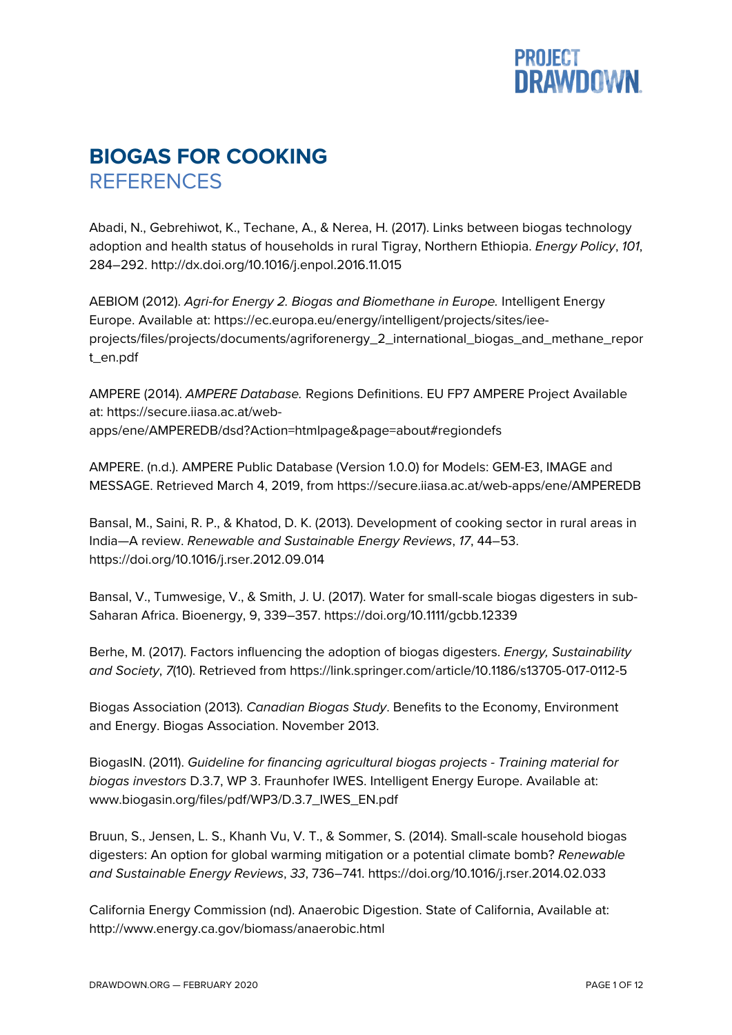

## **BIOGAS FOR COOKING REFERENCES**

Abadi, N., Gebrehiwot, K., Techane, A., & Nerea, H. (2017). Links between biogas technology adoption and health status of households in rural Tigray, Northern Ethiopia. *Energy Policy*, *101*, 284–292. http://dx.doi.org/10.1016/j.enpol.2016.11.015

AEBIOM (2012). *Agri-for Energy 2. Biogas and Biomethane in Europe.* Intelligent Energy Europe. Available at: https://ec.europa.eu/energy/intelligent/projects/sites/ieeprojects/files/projects/documents/agriforenergy\_2\_international\_biogas\_and\_methane\_repor t\_en.pdf

AMPERE (2014). *AMPERE Database.* Regions Definitions. EU FP7 AMPERE Project Available at: https://secure.iiasa.ac.at/webapps/ene/AMPEREDB/dsd?Action=htmlpage&page=about#regiondefs

AMPERE. (n.d.). AMPERE Public Database (Version 1.0.0) for Models: GEM-E3, IMAGE and MESSAGE. Retrieved March 4, 2019, from https://secure.iiasa.ac.at/web-apps/ene/AMPEREDB

Bansal, M., Saini, R. P., & Khatod, D. K. (2013). Development of cooking sector in rural areas in India—A review. *Renewable and Sustainable Energy Reviews*, *17*, 44–53. https://doi.org/10.1016/j.rser.2012.09.014

Bansal, V., Tumwesige, V., & Smith, J. U. (2017). Water for small-scale biogas digesters in sub-Saharan Africa. Bioenergy, 9, 339–357. https://doi.org/10.1111/gcbb.12339

Berhe, M. (2017). Factors influencing the adoption of biogas digesters. *Energy, Sustainability and Society*, *7*(10). Retrieved from https://link.springer.com/article/10.1186/s13705-017-0112-5

Biogas Association (2013). *Canadian Biogas Study*. Benefits to the Economy, Environment and Energy. Biogas Association. November 2013.

BiogasIN. (2011). *Guideline for financing agricultural biogas projects - Training material for biogas investors* D.3.7, WP 3. Fraunhofer IWES. Intelligent Energy Europe. Available at: www.biogasin.org/files/pdf/WP3/D.3.7\_IWES\_EN.pdf

Bruun, S., Jensen, L. S., Khanh Vu, V. T., & Sommer, S. (2014). Small-scale household biogas digesters: An option for global warming mitigation or a potential climate bomb? *Renewable and Sustainable Energy Reviews*, *33*, 736–741. https://doi.org/10.1016/j.rser.2014.02.033

California Energy Commission (nd). Anaerobic Digestion. State of California, Available at: http://www.energy.ca.gov/biomass/anaerobic.html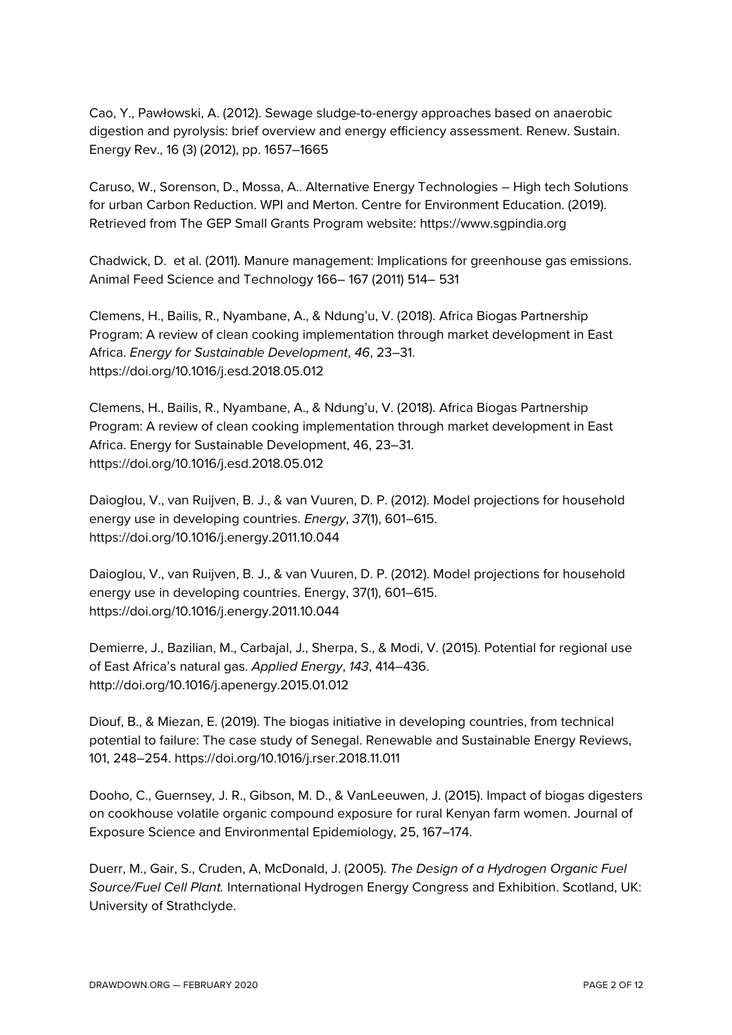Cao, Y., Pawłowski, A. (2012). Sewage sludge-to-energy approaches based on anaerobic digestion and pyrolysis: brief overview and energy efficiency assessment. Renew. Sustain. Energy Rev., 16 (3) (2012), pp. 1657–1665

Caruso, W., Sorenson, D., Mossa, A.. Alternative Energy Technologies – High tech Solutions for urban Carbon Reduction. WPI and Merton. Centre for Environment Education. (2019). Retrieved from The GEP Small Grants Program website: https://www.sgpindia.org

Chadwick, D. et al. (2011). Manure management: Implications for greenhouse gas emissions. Animal Feed Science and Technology 166– 167 (2011) 514– 531

Clemens, H., Bailis, R., Nyambane, A., & Ndung'u, V. (2018). Africa Biogas Partnership Program: A review of clean cooking implementation through market development in East Africa. *Energy for Sustainable Development*, *46*, 23–31. https://doi.org/10.1016/j.esd.2018.05.012

Clemens, H., Bailis, R., Nyambane, A., & Ndung'u, V. (2018). Africa Biogas Partnership Program: A review of clean cooking implementation through market development in East Africa. Energy for Sustainable Development, 46, 23–31. https://doi.org/10.1016/j.esd.2018.05.012

Daioglou, V., van Ruijven, B. J., & van Vuuren, D. P. (2012). Model projections for household energy use in developing countries. *Energy*, *37*(1), 601–615. https://doi.org/10.1016/j.energy.2011.10.044

Daioglou, V., van Ruijven, B. J., & van Vuuren, D. P. (2012). Model projections for household energy use in developing countries. Energy, 37(1), 601–615. https://doi.org/10.1016/j.energy.2011.10.044

Demierre, J., Bazilian, M., Carbajal, J., Sherpa, S., & Modi, V. (2015). Potential for regional use of East Africa's natural gas. *Applied Energy*, *143*, 414–436. http://doi.org/10.1016/j.apenergy.2015.01.012

Diouf, B., & Miezan, E. (2019). The biogas initiative in developing countries, from technical potential to failure: The case study of Senegal. Renewable and Sustainable Energy Reviews, 101, 248–254. https://doi.org/10.1016/j.rser.2018.11.011

Dooho, C., Guernsey, J. R., Gibson, M. D., & VanLeeuwen, J. (2015). Impact of biogas digesters on cookhouse volatile organic compound exposure for rural Kenyan farm women. Journal of Exposure Science and Environmental Epidemiology, 25, 167–174.

Duerr, M., Gair, S., Cruden, A, McDonald, J. (2005). *The Design of a Hydrogen Organic Fuel Source/Fuel Cell Plant.* International Hydrogen Energy Congress and Exhibition. Scotland, UK: University of Strathclyde.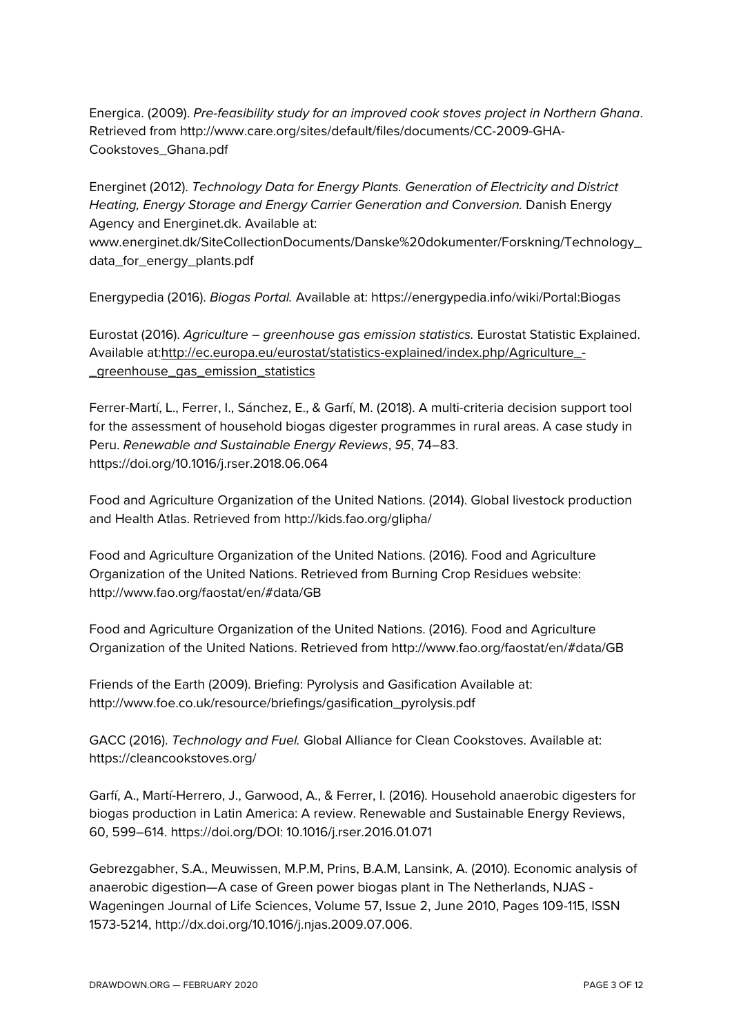Energica. (2009). *Pre-feasibility study for an improved cook stoves project in Northern Ghana*. Retrieved from http://www.care.org/sites/default/files/documents/CC-2009-GHA-Cookstoves\_Ghana.pdf

Energinet (2012). *Technology Data for Energy Plants. Generation of Electricity and District Heating, Energy Storage and Energy Carrier Generation and Conversion.* Danish Energy Agency and Energinet.dk. Available at:

www.energinet.dk/SiteCollectionDocuments/Danske%20dokumenter/Forskning/Technology\_ data\_for\_energy\_plants.pdf

Energypedia (2016). *Biogas Portal.* Available at: https://energypedia.info/wiki/Portal:Biogas

Eurostat (2016). *Agriculture – greenhouse gas emission statistics.* Eurostat Statistic Explained. Available at:http://ec.europa.eu/eurostat/statistics-explained/index.php/Agriculture\_- \_greenhouse\_gas\_emission\_statistics

Ferrer-Martí, L., Ferrer, I., Sánchez, E., & Garfí, M. (2018). A multi-criteria decision support tool for the assessment of household biogas digester programmes in rural areas. A case study in Peru. *Renewable and Sustainable Energy Reviews*, *95*, 74–83. https://doi.org/10.1016/j.rser.2018.06.064

Food and Agriculture Organization of the United Nations. (2014). Global livestock production and Health Atlas. Retrieved from http://kids.fao.org/glipha/

Food and Agriculture Organization of the United Nations. (2016). Food and Agriculture Organization of the United Nations. Retrieved from Burning Crop Residues website: http://www.fao.org/faostat/en/#data/GB

Food and Agriculture Organization of the United Nations. (2016). Food and Agriculture Organization of the United Nations. Retrieved from http://www.fao.org/faostat/en/#data/GB

Friends of the Earth (2009). Briefing: Pyrolysis and Gasification Available at: http://www.foe.co.uk/resource/briefings/gasification\_pyrolysis.pdf

GACC (2016). *Technology and Fuel.* Global Alliance for Clean Cookstoves. Available at: https://cleancookstoves.org/

Garfí, A., Martí-Herrero, J., Garwood, A., & Ferrer, I. (2016). Household anaerobic digesters for biogas production in Latin America: A review. Renewable and Sustainable Energy Reviews, 60, 599–614. https://doi.org/DOI: 10.1016/j.rser.2016.01.071

Gebrezgabher, S.A., Meuwissen, M.P.M, Prins, B.A.M, Lansink, A. (2010). Economic analysis of anaerobic digestion—A case of Green power biogas plant in The Netherlands, NJAS - Wageningen Journal of Life Sciences, Volume 57, Issue 2, June 2010, Pages 109-115, ISSN 1573-5214, http://dx.doi.org/10.1016/j.njas.2009.07.006.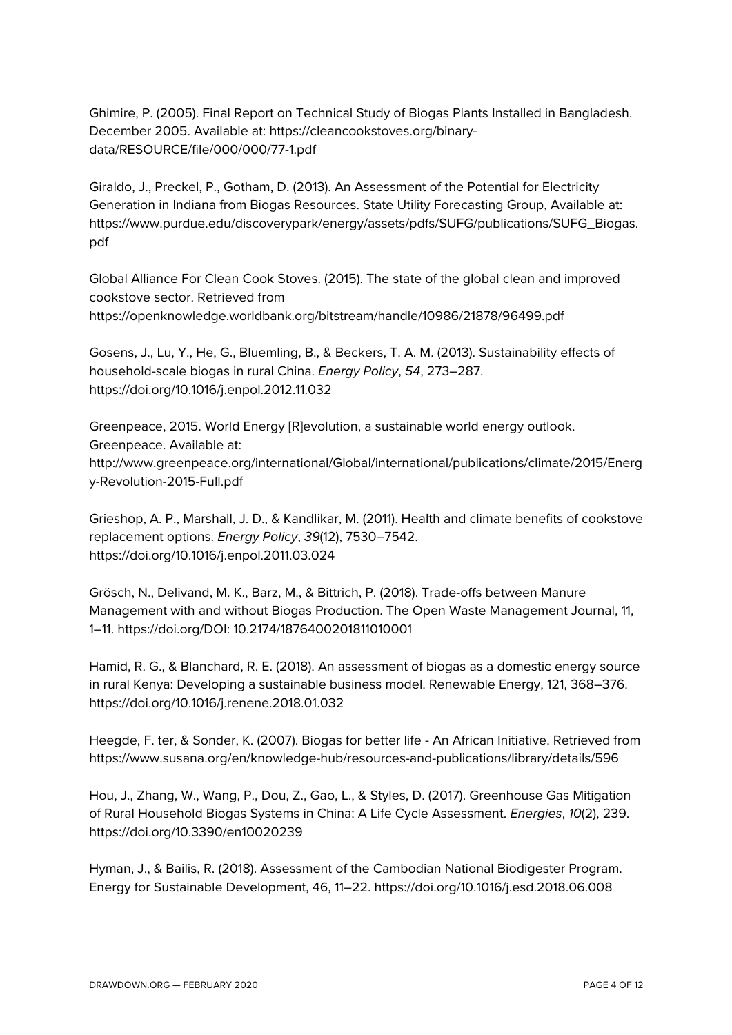Ghimire, P. (2005). Final Report on Technical Study of Biogas Plants Installed in Bangladesh. December 2005. Available at: https://cleancookstoves.org/binarydata/RESOURCE/file/000/000/77-1.pdf

Giraldo, J., Preckel, P., Gotham, D. (2013). An Assessment of the Potential for Electricity Generation in Indiana from Biogas Resources. State Utility Forecasting Group, Available at: https://www.purdue.edu/discoverypark/energy/assets/pdfs/SUFG/publications/SUFG\_Biogas. pdf

Global Alliance For Clean Cook Stoves. (2015). The state of the global clean and improved cookstove sector. Retrieved from https://openknowledge.worldbank.org/bitstream/handle/10986/21878/96499.pdf

Gosens, J., Lu, Y., He, G., Bluemling, B., & Beckers, T. A. M. (2013). Sustainability effects of household-scale biogas in rural China. *Energy Policy*, *54*, 273–287. https://doi.org/10.1016/j.enpol.2012.11.032

Greenpeace, 2015. World Energy [R]evolution, a sustainable world energy outlook. Greenpeace. Available at: http://www.greenpeace.org/international/Global/international/publications/climate/2015/Energ y-Revolution-2015-Full.pdf

Grieshop, A. P., Marshall, J. D., & Kandlikar, M. (2011). Health and climate benefits of cookstove replacement options. *Energy Policy*, *39*(12), 7530–7542. https://doi.org/10.1016/j.enpol.2011.03.024

Grösch, N., Delivand, M. K., Barz, M., & Bittrich, P. (2018). Trade-offs between Manure Management with and without Biogas Production. The Open Waste Management Journal, 11, 1–11. https://doi.org/DOI: 10.2174/1876400201811010001

Hamid, R. G., & Blanchard, R. E. (2018). An assessment of biogas as a domestic energy source in rural Kenya: Developing a sustainable business model. Renewable Energy, 121, 368–376. https://doi.org/10.1016/j.renene.2018.01.032

Heegde, F. ter, & Sonder, K. (2007). Biogas for better life - An African Initiative. Retrieved from https://www.susana.org/en/knowledge-hub/resources-and-publications/library/details/596

Hou, J., Zhang, W., Wang, P., Dou, Z., Gao, L., & Styles, D. (2017). Greenhouse Gas Mitigation of Rural Household Biogas Systems in China: A Life Cycle Assessment. *Energies*, *10*(2), 239. https://doi.org/10.3390/en10020239

Hyman, J., & Bailis, R. (2018). Assessment of the Cambodian National Biodigester Program. Energy for Sustainable Development, 46, 11–22. https://doi.org/10.1016/j.esd.2018.06.008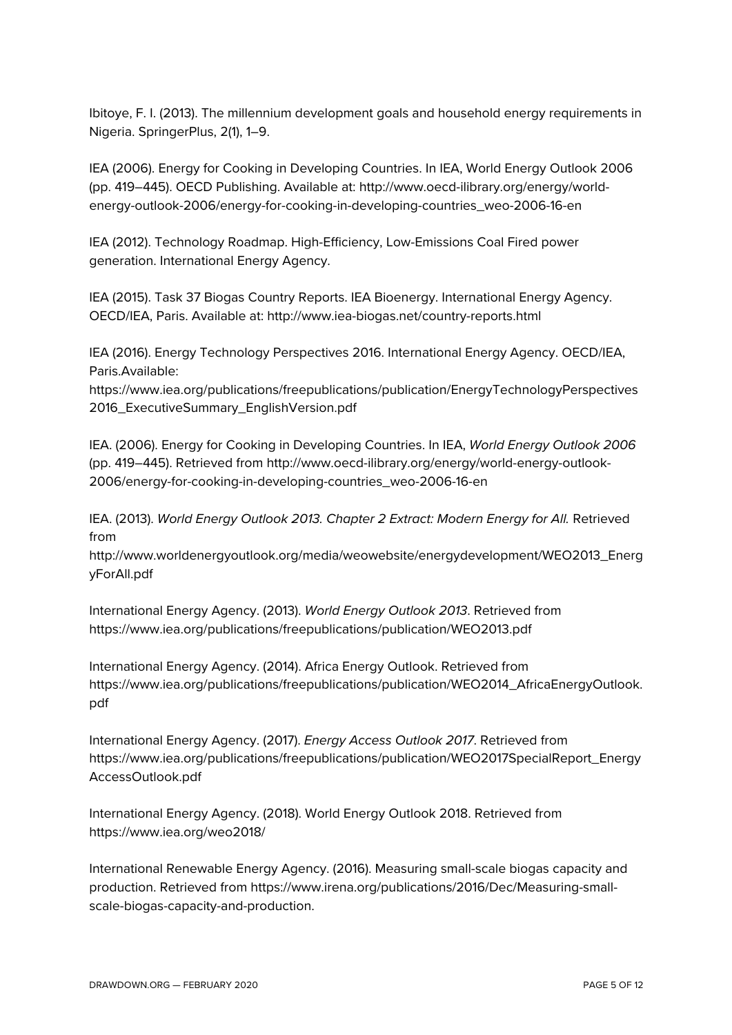Ibitoye, F. I. (2013). The millennium development goals and household energy requirements in Nigeria. SpringerPlus, 2(1), 1–9.

IEA (2006). Energy for Cooking in Developing Countries. In IEA, World Energy Outlook 2006 (pp. 419–445). OECD Publishing. Available at: http://www.oecd-ilibrary.org/energy/worldenergy-outlook-2006/energy-for-cooking-in-developing-countries\_weo-2006-16-en

IEA (2012). Technology Roadmap. High-Efficiency, Low-Emissions Coal Fired power generation. International Energy Agency.

IEA (2015). Task 37 Biogas Country Reports. IEA Bioenergy. International Energy Agency. OECD/IEA, Paris. Available at: http://www.iea-biogas.net/country-reports.html

IEA (2016). Energy Technology Perspectives 2016. International Energy Agency. OECD/IEA, Paris.Available:

https://www.iea.org/publications/freepublications/publication/EnergyTechnologyPerspectives 2016\_ExecutiveSummary\_EnglishVersion.pdf

IEA. (2006). Energy for Cooking in Developing Countries. In IEA, *World Energy Outlook 2006* (pp. 419–445). Retrieved from http://www.oecd-ilibrary.org/energy/world-energy-outlook-2006/energy-for-cooking-in-developing-countries\_weo-2006-16-en

IEA. (2013). *World Energy Outlook 2013. Chapter 2 Extract: Modern Energy for All.* Retrieved from

http://www.worldenergyoutlook.org/media/weowebsite/energydevelopment/WEO2013\_Energ yForAll.pdf

International Energy Agency. (2013). *World Energy Outlook 2013*. Retrieved from https://www.iea.org/publications/freepublications/publication/WEO2013.pdf

International Energy Agency. (2014). Africa Energy Outlook. Retrieved from https://www.iea.org/publications/freepublications/publication/WEO2014\_AfricaEnergyOutlook. pdf

International Energy Agency. (2017). *Energy Access Outlook 2017*. Retrieved from https://www.iea.org/publications/freepublications/publication/WEO2017SpecialReport\_Energy AccessOutlook.pdf

International Energy Agency. (2018). World Energy Outlook 2018. Retrieved from https://www.iea.org/weo2018/

International Renewable Energy Agency. (2016). Measuring small-scale biogas capacity and production. Retrieved from https://www.irena.org/publications/2016/Dec/Measuring-smallscale-biogas-capacity-and-production.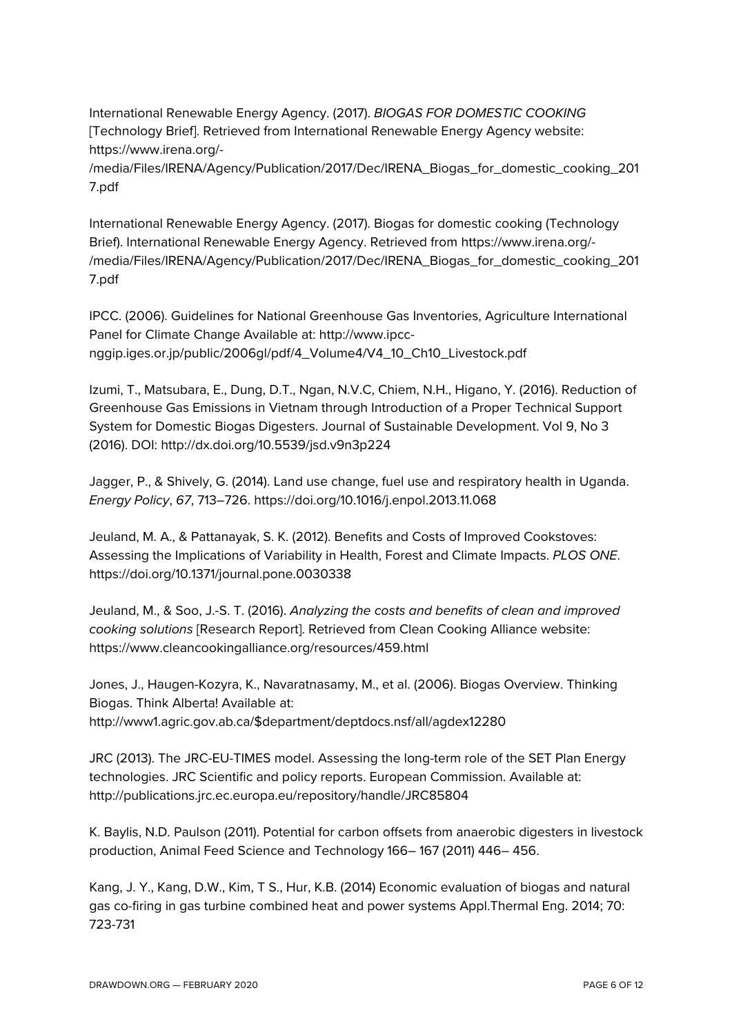International Renewable Energy Agency. (2017). *BIOGAS FOR DOMESTIC COOKING* [Technology Brief]. Retrieved from International Renewable Energy Agency website: https://www.irena.org/-

/media/Files/IRENA/Agency/Publication/2017/Dec/IRENA\_Biogas\_for\_domestic\_cooking\_201 7.pdf

International Renewable Energy Agency. (2017). Biogas for domestic cooking (Technology Brief). International Renewable Energy Agency. Retrieved from https://www.irena.org/- /media/Files/IRENA/Agency/Publication/2017/Dec/IRENA\_Biogas\_for\_domestic\_cooking\_201 7.pdf

IPCC. (2006). Guidelines for National Greenhouse Gas Inventories, Agriculture International Panel for Climate Change Available at: http://www.ipccnggip.iges.or.jp/public/2006gl/pdf/4\_Volume4/V4\_10\_Ch10\_Livestock.pdf

Izumi, T., Matsubara, E., Dung, D.T., Ngan, N.V.C, Chiem, N.H., Higano, Y. (2016). Reduction of Greenhouse Gas Emissions in Vietnam through Introduction of a Proper Technical Support System for Domestic Biogas Digesters. Journal of Sustainable Development. Vol 9, No 3 (2016). DOI: http://dx.doi.org/10.5539/jsd.v9n3p224

Jagger, P., & Shively, G. (2014). Land use change, fuel use and respiratory health in Uganda. *Energy Policy*, *67*, 713–726. https://doi.org/10.1016/j.enpol.2013.11.068

Jeuland, M. A., & Pattanayak, S. K. (2012). Benefits and Costs of Improved Cookstoves: Assessing the Implications of Variability in Health, Forest and Climate Impacts. *PLOS ONE*. https://doi.org/10.1371/journal.pone.0030338

Jeuland, M., & Soo, J.-S. T. (2016). *Analyzing the costs and benefits of clean and improved cooking solutions* [Research Report]. Retrieved from Clean Cooking Alliance website: https://www.cleancookingalliance.org/resources/459.html

Jones, J., Haugen-Kozyra, K., Navaratnasamy, M., et al. (2006). Biogas Overview. Thinking Biogas. Think Alberta! Available at: http://www1.agric.gov.ab.ca/\$department/deptdocs.nsf/all/agdex12280

JRC (2013). The JRC-EU-TIMES model. Assessing the long-term role of the SET Plan Energy technologies. JRC Scientific and policy reports. European Commission. Available at: http://publications.jrc.ec.europa.eu/repository/handle/JRC85804

K. Baylis, N.D. Paulson (2011). Potential for carbon offsets from anaerobic digesters in livestock production, Animal Feed Science and Technology 166– 167 (2011) 446– 456.

Kang, J. Y., Kang, D.W., Kim, T S., Hur, K.B. (2014) Economic evaluation of biogas and natural gas co-firing in gas turbine combined heat and power systems Appl.Thermal Eng. 2014; 70: 723-731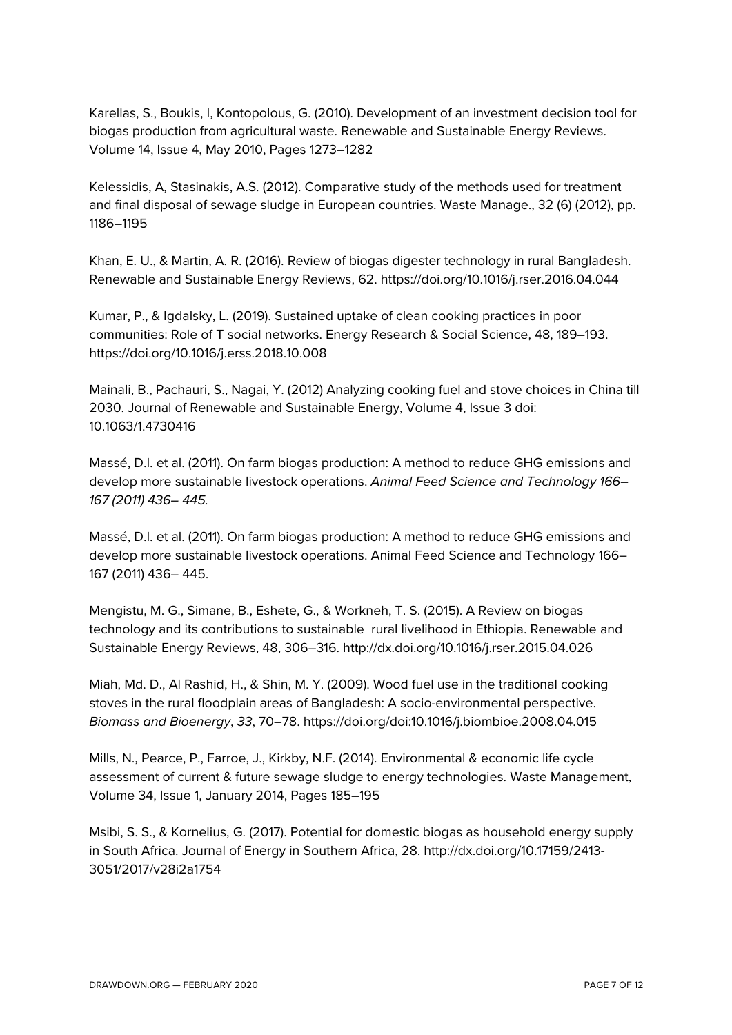Karellas, S., Boukis, I, Kontopolous, G. (2010). Development of an investment decision tool for biogas production from agricultural waste. Renewable and Sustainable Energy Reviews. Volume 14, Issue 4, May 2010, Pages 1273–1282

Kelessidis, A, Stasinakis, A.S. (2012). Comparative study of the methods used for treatment and final disposal of sewage sludge in European countries. Waste Manage., 32 (6) (2012), pp. 1186–1195

Khan, E. U., & Martin, A. R. (2016). Review of biogas digester technology in rural Bangladesh. Renewable and Sustainable Energy Reviews, 62. https://doi.org/10.1016/j.rser.2016.04.044

Kumar, P., & Igdalsky, L. (2019). Sustained uptake of clean cooking practices in poor communities: Role of T social networks. Energy Research & Social Science, 48, 189–193. https://doi.org/10.1016/j.erss.2018.10.008

Mainali, B., Pachauri, S., Nagai, Y. (2012) Analyzing cooking fuel and stove choices in China till 2030. Journal of Renewable and Sustainable Energy, Volume 4, Issue 3 doi: 10.1063/1.4730416

Massé, D.I. et al. (2011). On farm biogas production: A method to reduce GHG emissions and develop more sustainable livestock operations. *Animal Feed Science and Technology 166– 167 (2011) 436– 445.*

Massé, D.I. et al. (2011). On farm biogas production: A method to reduce GHG emissions and develop more sustainable livestock operations. Animal Feed Science and Technology 166– 167 (2011) 436– 445.

Mengistu, M. G., Simane, B., Eshete, G., & Workneh, T. S. (2015). A Review on biogas technology and its contributions to sustainable rural livelihood in Ethiopia. Renewable and Sustainable Energy Reviews, 48, 306–316. http://dx.doi.org/10.1016/j.rser.2015.04.026

Miah, Md. D., Al Rashid, H., & Shin, M. Y. (2009). Wood fuel use in the traditional cooking stoves in the rural floodplain areas of Bangladesh: A socio-environmental perspective. *Biomass and Bioenergy*, *33*, 70–78. https://doi.org/doi:10.1016/j.biombioe.2008.04.015

Mills, N., Pearce, P., Farroe, J., Kirkby, N.F. (2014). Environmental & economic life cycle assessment of current & future sewage sludge to energy technologies. Waste Management, Volume 34, Issue 1, January 2014, Pages 185–195

Msibi, S. S., & Kornelius, G. (2017). Potential for domestic biogas as household energy supply in South Africa. Journal of Energy in Southern Africa, 28. http://dx.doi.org/10.17159/2413- 3051/2017/v28i2a1754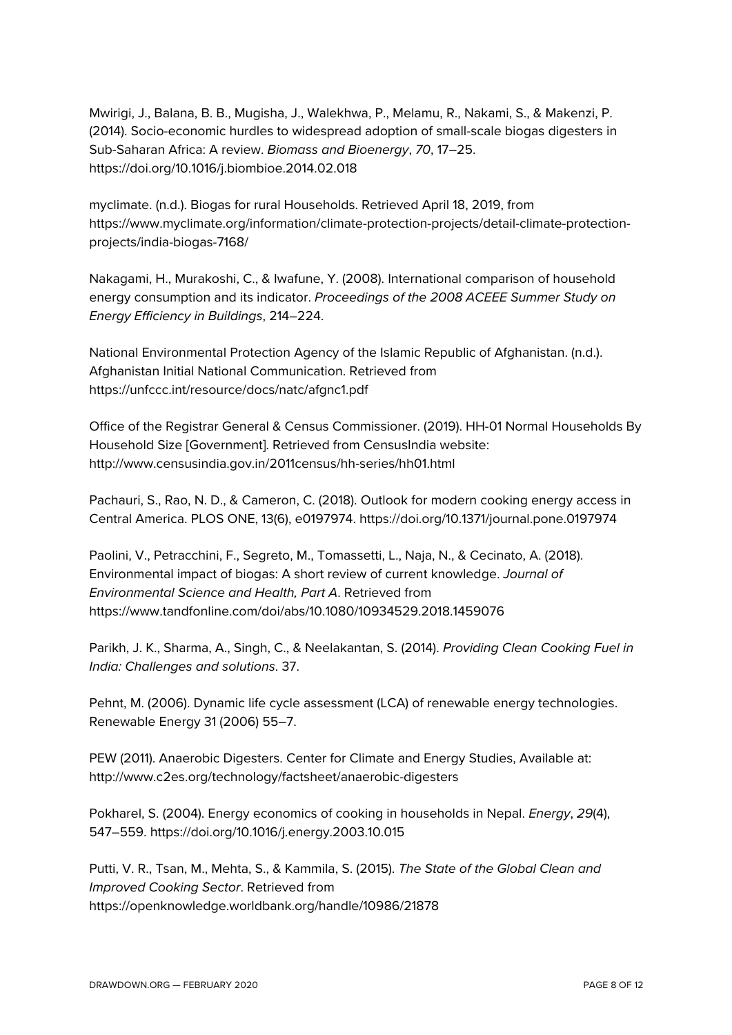Mwirigi, J., Balana, B. B., Mugisha, J., Walekhwa, P., Melamu, R., Nakami, S., & Makenzi, P. (2014). Socio-economic hurdles to widespread adoption of small-scale biogas digesters in Sub-Saharan Africa: A review. *Biomass and Bioenergy*, *70*, 17–25. https://doi.org/10.1016/j.biombioe.2014.02.018

myclimate. (n.d.). Biogas for rural Households. Retrieved April 18, 2019, from https://www.myclimate.org/information/climate-protection-projects/detail-climate-protectionprojects/india-biogas-7168/

Nakagami, H., Murakoshi, C., & Iwafune, Y. (2008). International comparison of household energy consumption and its indicator. *Proceedings of the 2008 ACEEE Summer Study on Energy Efficiency in Buildings*, 214–224.

National Environmental Protection Agency of the Islamic Republic of Afghanistan. (n.d.). Afghanistan Initial National Communication. Retrieved from https://unfccc.int/resource/docs/natc/afgnc1.pdf

Office of the Registrar General & Census Commissioner. (2019). HH-01 Normal Households By Household Size [Government]. Retrieved from CensusIndia website: http://www.censusindia.gov.in/2011census/hh-series/hh01.html

Pachauri, S., Rao, N. D., & Cameron, C. (2018). Outlook for modern cooking energy access in Central America. PLOS ONE, 13(6), e0197974. https://doi.org/10.1371/journal.pone.0197974

Paolini, V., Petracchini, F., Segreto, M., Tomassetti, L., Naja, N., & Cecinato, A. (2018). Environmental impact of biogas: A short review of current knowledge. *Journal of Environmental Science and Health, Part A*. Retrieved from https://www.tandfonline.com/doi/abs/10.1080/10934529.2018.1459076

Parikh, J. K., Sharma, A., Singh, C., & Neelakantan, S. (2014). *Providing Clean Cooking Fuel in India: Challenges and solutions*. 37.

Pehnt, M. (2006). Dynamic life cycle assessment (LCA) of renewable energy technologies. Renewable Energy 31 (2006) 55–7.

PEW (2011). Anaerobic Digesters. Center for Climate and Energy Studies, Available at: http://www.c2es.org/technology/factsheet/anaerobic-digesters

Pokharel, S. (2004). Energy economics of cooking in households in Nepal. *Energy*, *29*(4), 547–559. https://doi.org/10.1016/j.energy.2003.10.015

Putti, V. R., Tsan, M., Mehta, S., & Kammila, S. (2015). *The State of the Global Clean and Improved Cooking Sector*. Retrieved from https://openknowledge.worldbank.org/handle/10986/21878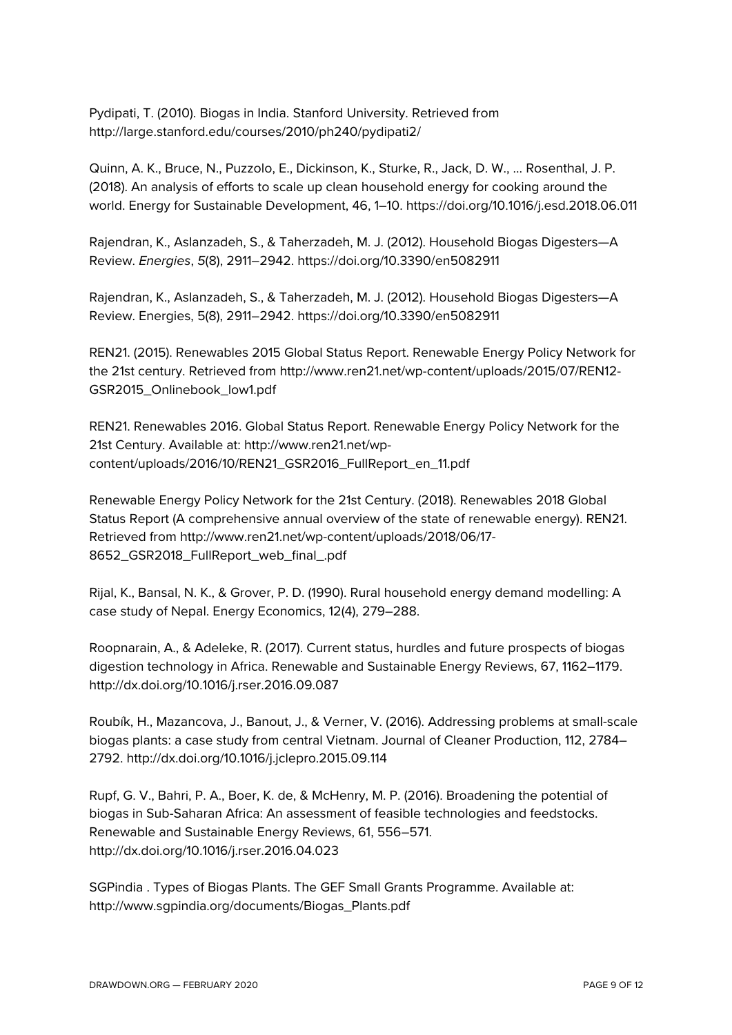Pydipati, T. (2010). Biogas in India. Stanford University. Retrieved from http://large.stanford.edu/courses/2010/ph240/pydipati2/

Quinn, A. K., Bruce, N., Puzzolo, E., Dickinson, K., Sturke, R., Jack, D. W., … Rosenthal, J. P. (2018). An analysis of efforts to scale up clean household energy for cooking around the world. Energy for Sustainable Development, 46, 1–10. https://doi.org/10.1016/j.esd.2018.06.011

Rajendran, K., Aslanzadeh, S., & Taherzadeh, M. J. (2012). Household Biogas Digesters—A Review. *Energies*, *5*(8), 2911–2942. https://doi.org/10.3390/en5082911

Rajendran, K., Aslanzadeh, S., & Taherzadeh, M. J. (2012). Household Biogas Digesters—A Review. Energies, 5(8), 2911–2942. https://doi.org/10.3390/en5082911

REN21. (2015). Renewables 2015 Global Status Report. Renewable Energy Policy Network for the 21st century. Retrieved from http://www.ren21.net/wp-content/uploads/2015/07/REN12- GSR2015\_Onlinebook\_low1.pdf

REN21. Renewables 2016. Global Status Report. Renewable Energy Policy Network for the 21st Century. Available at: http://www.ren21.net/wpcontent/uploads/2016/10/REN21\_GSR2016\_FullReport\_en\_11.pdf

Renewable Energy Policy Network for the 21st Century. (2018). Renewables 2018 Global Status Report (A comprehensive annual overview of the state of renewable energy). REN21. Retrieved from http://www.ren21.net/wp-content/uploads/2018/06/17- 8652\_GSR2018\_FullReport\_web\_final\_.pdf

Rijal, K., Bansal, N. K., & Grover, P. D. (1990). Rural household energy demand modelling: A case study of Nepal. Energy Economics, 12(4), 279–288.

Roopnarain, A., & Adeleke, R. (2017). Current status, hurdles and future prospects of biogas digestion technology in Africa. Renewable and Sustainable Energy Reviews, 67, 1162–1179. http://dx.doi.org/10.1016/j.rser.2016.09.087

Roubík, H., Mazancova, J., Banout, J., & Verner, V. (2016). Addressing problems at small-scale biogas plants: a case study from central Vietnam. Journal of Cleaner Production, 112, 2784– 2792. http://dx.doi.org/10.1016/j.jclepro.2015.09.114

Rupf, G. V., Bahri, P. A., Boer, K. de, & McHenry, M. P. (2016). Broadening the potential of biogas in Sub-Saharan Africa: An assessment of feasible technologies and feedstocks. Renewable and Sustainable Energy Reviews, 61, 556–571. http://dx.doi.org/10.1016/j.rser.2016.04.023

SGPindia . Types of Biogas Plants. The GEF Small Grants Programme. Available at: http://www.sgpindia.org/documents/Biogas\_Plants.pdf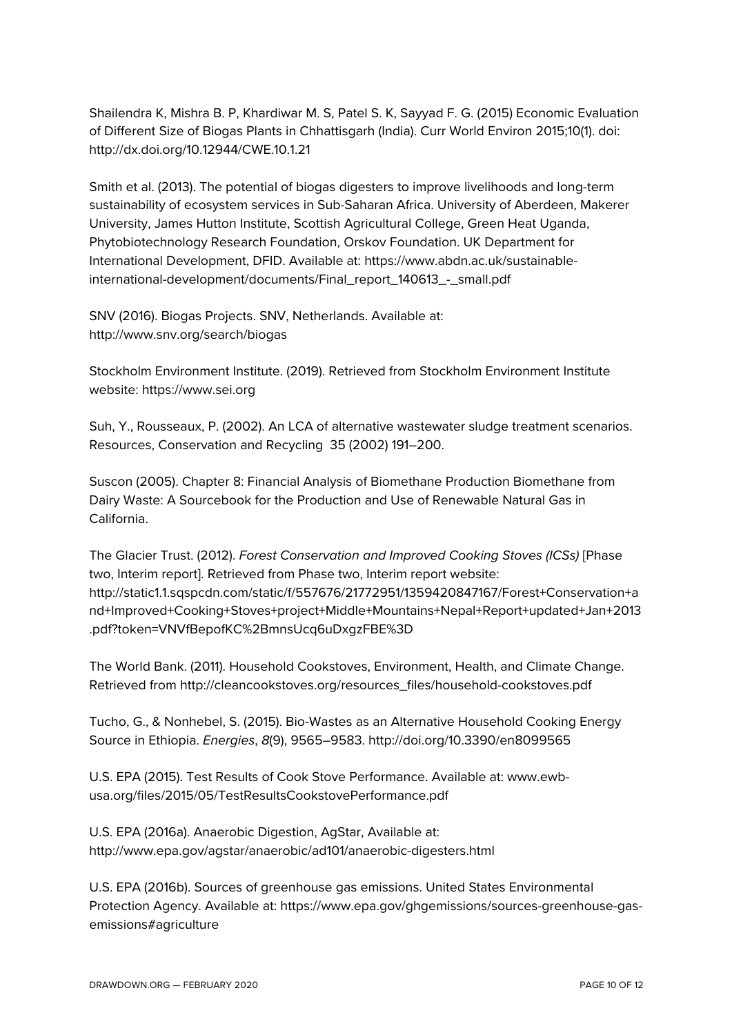Shailendra K, Mishra B. P, Khardiwar M. S, Patel S. K, Sayyad F. G. (2015) Economic Evaluation of Different Size of Biogas Plants in Chhattisgarh (India). Curr World Environ 2015;10(1). doi: http://dx.doi.org/10.12944/CWE.10.1.21

Smith et al. (2013). The potential of biogas digesters to improve livelihoods and long-term sustainability of ecosystem services in Sub-Saharan Africa. University of Aberdeen, Makerer University, James Hutton Institute, Scottish Agricultural College, Green Heat Uganda, Phytobiotechnology Research Foundation, Orskov Foundation. UK Department for International Development, DFID. Available at: https://www.abdn.ac.uk/sustainableinternational-development/documents/Final\_report\_140613\_-\_small.pdf

SNV (2016). Biogas Projects. SNV, Netherlands. Available at: http://www.snv.org/search/biogas

Stockholm Environment Institute. (2019). Retrieved from Stockholm Environment Institute website: https://www.sei.org

Suh, Y., Rousseaux, P. (2002). An LCA of alternative wastewater sludge treatment scenarios. Resources, Conservation and Recycling 35 (2002) 191–200.

Suscon (2005). Chapter 8: Financial Analysis of Biomethane Production Biomethane from Dairy Waste: A Sourcebook for the Production and Use of Renewable Natural Gas in California.

The Glacier Trust. (2012). *Forest Conservation and Improved Cooking Stoves (ICSs)* [Phase two, Interim report]. Retrieved from Phase two, Interim report website: http://static1.1.sqspcdn.com/static/f/557676/21772951/1359420847167/Forest+Conservation+a nd+Improved+Cooking+Stoves+project+Middle+Mountains+Nepal+Report+updated+Jan+2013 .pdf?token=VNVfBepofKC%2BmnsUcq6uDxgzFBE%3D

The World Bank. (2011). Household Cookstoves, Environment, Health, and Climate Change. Retrieved from http://cleancookstoves.org/resources\_files/household-cookstoves.pdf

Tucho, G., & Nonhebel, S. (2015). Bio-Wastes as an Alternative Household Cooking Energy Source in Ethiopia. *Energies*, *8*(9), 9565–9583. http://doi.org/10.3390/en8099565

U.S. EPA (2015). Test Results of Cook Stove Performance. Available at: www.ewbusa.org/files/2015/05/TestResultsCookstovePerformance.pdf

U.S. EPA (2016a). Anaerobic Digestion, AgStar, Available at: http://www.epa.gov/agstar/anaerobic/ad101/anaerobic-digesters.html

U.S. EPA (2016b). Sources of greenhouse gas emissions. United States Environmental Protection Agency. Available at: https://www.epa.gov/ghgemissions/sources-greenhouse-gasemissions#agriculture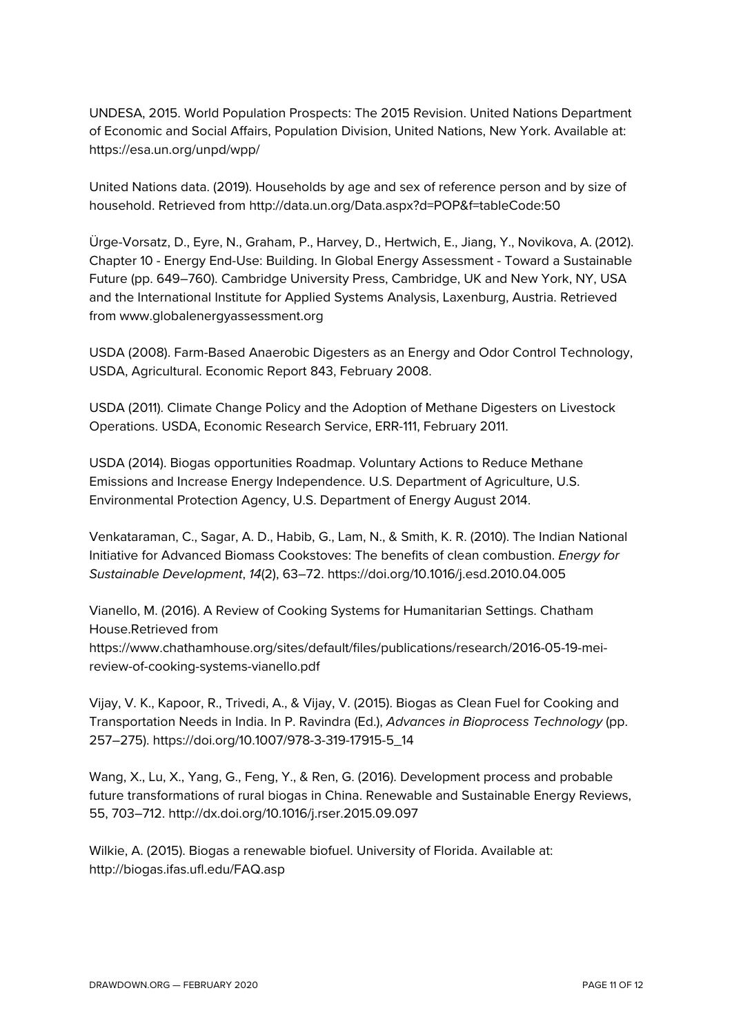UNDESA, 2015. World Population Prospects: The 2015 Revision. United Nations Department of Economic and Social Affairs, Population Division, United Nations, New York. Available at: https://esa.un.org/unpd/wpp/

United Nations data. (2019). Households by age and sex of reference person and by size of household. Retrieved from http://data.un.org/Data.aspx?d=POP&f=tableCode:50

Ürge-Vorsatz, D., Eyre, N., Graham, P., Harvey, D., Hertwich, E., Jiang, Y., Novikova, A. (2012). Chapter 10 - Energy End-Use: Building. In Global Energy Assessment - Toward a Sustainable Future (pp. 649–760). Cambridge University Press, Cambridge, UK and New York, NY, USA and the International Institute for Applied Systems Analysis, Laxenburg, Austria. Retrieved from www.globalenergyassessment.org

USDA (2008). Farm-Based Anaerobic Digesters as an Energy and Odor Control Technology, USDA, Agricultural. Economic Report 843, February 2008.

USDA (2011). Climate Change Policy and the Adoption of Methane Digesters on Livestock Operations. USDA, Economic Research Service, ERR-111, February 2011.

USDA (2014). Biogas opportunities Roadmap. Voluntary Actions to Reduce Methane Emissions and Increase Energy Independence. U.S. Department of Agriculture, U.S. Environmental Protection Agency, U.S. Department of Energy August 2014.

Venkataraman, C., Sagar, A. D., Habib, G., Lam, N., & Smith, K. R. (2010). The Indian National Initiative for Advanced Biomass Cookstoves: The benefits of clean combustion. *Energy for Sustainable Development*, *14*(2), 63–72. https://doi.org/10.1016/j.esd.2010.04.005

Vianello, M. (2016). A Review of Cooking Systems for Humanitarian Settings. Chatham House.Retrieved from https://www.chathamhouse.org/sites/default/files/publications/research/2016-05-19-meireview-of-cooking-systems-vianello.pdf

Vijay, V. K., Kapoor, R., Trivedi, A., & Vijay, V. (2015). Biogas as Clean Fuel for Cooking and Transportation Needs in India. In P. Ravindra (Ed.), *Advances in Bioprocess Technology* (pp. 257–275). https://doi.org/10.1007/978-3-319-17915-5\_14

Wang, X., Lu, X., Yang, G., Feng, Y., & Ren, G. (2016). Development process and probable future transformations of rural biogas in China. Renewable and Sustainable Energy Reviews, 55, 703–712. http://dx.doi.org/10.1016/j.rser.2015.09.097

Wilkie, A. (2015). Biogas a renewable biofuel. University of Florida. Available at: http://biogas.ifas.ufl.edu/FAQ.asp